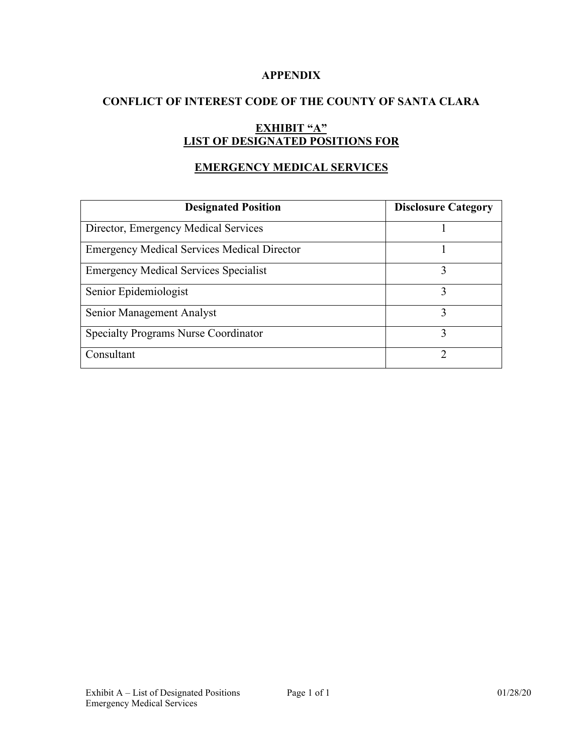### **APPENDIX**

### **CONFLICT OF INTEREST CODE OF THE COUNTY OF SANTA CLARA**

# **EXHIBIT "A" LIST OF DESIGNATED POSITIONS FOR**

## **EMERGENCY MEDICAL SERVICES**

| <b>Designated Position</b>                         | <b>Disclosure Category</b> |
|----------------------------------------------------|----------------------------|
| Director, Emergency Medical Services               |                            |
| <b>Emergency Medical Services Medical Director</b> |                            |
| <b>Emergency Medical Services Specialist</b>       | 3                          |
| Senior Epidemiologist                              |                            |
| Senior Management Analyst                          |                            |
| <b>Specialty Programs Nurse Coordinator</b>        |                            |
| Consultant                                         | ∍                          |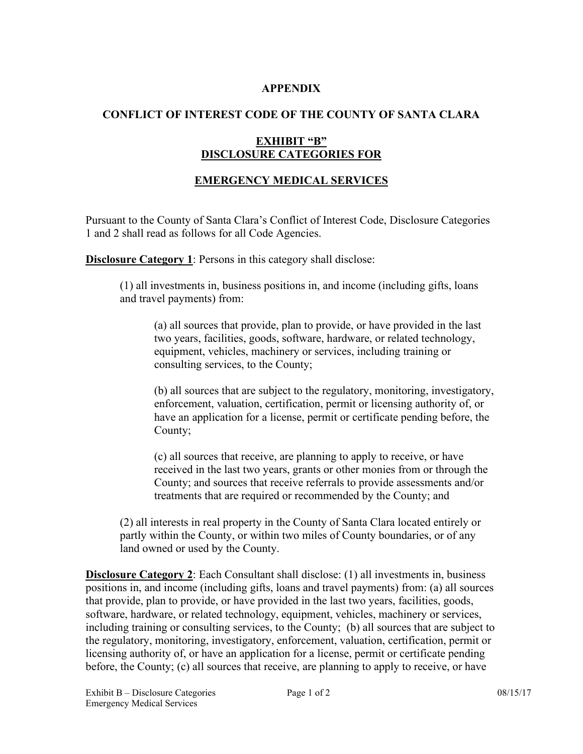### **APPENDIX**

### **CONFLICT OF INTEREST CODE OF THE COUNTY OF SANTA CLARA**

#### **EXHIBIT "B" DISCLOSURE CATEGORIES FOR**

## **EMERGENCY MEDICAL SERVICES**

Pursuant to the County of Santa Clara's Conflict of Interest Code, Disclosure Categories 1 and 2 shall read as follows for all Code Agencies.

**Disclosure Category 1**: Persons in this category shall disclose:

(1) all investments in, business positions in, and income (including gifts, loans and travel payments) from:

(a) all sources that provide, plan to provide, or have provided in the last two years, facilities, goods, software, hardware, or related technology, equipment, vehicles, machinery or services, including training or consulting services, to the County;

(b) all sources that are subject to the regulatory, monitoring, investigatory, enforcement, valuation, certification, permit or licensing authority of, or have an application for a license, permit or certificate pending before, the County;

(c) all sources that receive, are planning to apply to receive, or have received in the last two years, grants or other monies from or through the County; and sources that receive referrals to provide assessments and/or treatments that are required or recommended by the County; and

(2) all interests in real property in the County of Santa Clara located entirely or partly within the County, or within two miles of County boundaries, or of any land owned or used by the County.

**Disclosure Category 2**: Each Consultant shall disclose: (1) all investments in, business positions in, and income (including gifts, loans and travel payments) from: (a) all sources that provide, plan to provide, or have provided in the last two years, facilities, goods, software, hardware, or related technology, equipment, vehicles, machinery or services, including training or consulting services, to the County; (b) all sources that are subject to the regulatory, monitoring, investigatory, enforcement, valuation, certification, permit or licensing authority of, or have an application for a license, permit or certificate pending before, the County; (c) all sources that receive, are planning to apply to receive, or have